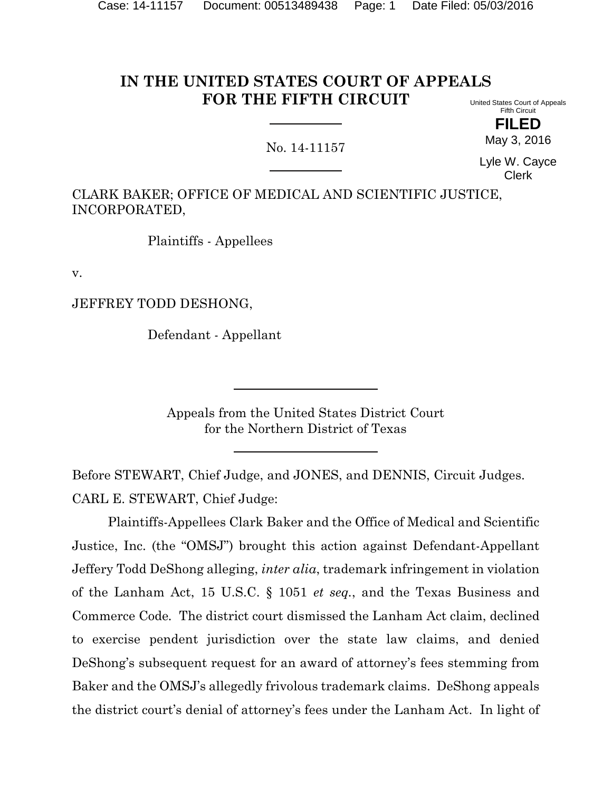#### **IN THE UNITED STATES COURT OF APPEALS FOR THE FIFTH CIRCUIT** United States Court of Appeals

# No. 14-11157

Lyle W. Cayce Clerk

Fifth Circuit **FILED** May 3, 2016

CLARK BAKER; OFFICE OF MEDICAL AND SCIENTIFIC JUSTICE, INCORPORATED,

Plaintiffs - Appellees

v.

JEFFREY TODD DESHONG,

Defendant - Appellant

Appeals from the United States District Court for the Northern District of Texas

Before STEWART, Chief Judge, and JONES, and DENNIS, Circuit Judges. CARL E. STEWART, Chief Judge:

Plaintiffs-Appellees Clark Baker and the Office of Medical and Scientific Justice, Inc. (the "OMSJ") brought this action against Defendant-Appellant Jeffery Todd DeShong alleging, *inter alia*, trademark infringement in violation of the Lanham Act, 15 U.S.C. § 1051 *et seq.*, and the Texas Business and Commerce Code*.* The district court dismissed the Lanham Act claim, declined to exercise pendent jurisdiction over the state law claims, and denied DeShong's subsequent request for an award of attorney's fees stemming from Baker and the OMSJ's allegedly frivolous trademark claims. DeShong appeals the district court's denial of attorney's fees under the Lanham Act. In light of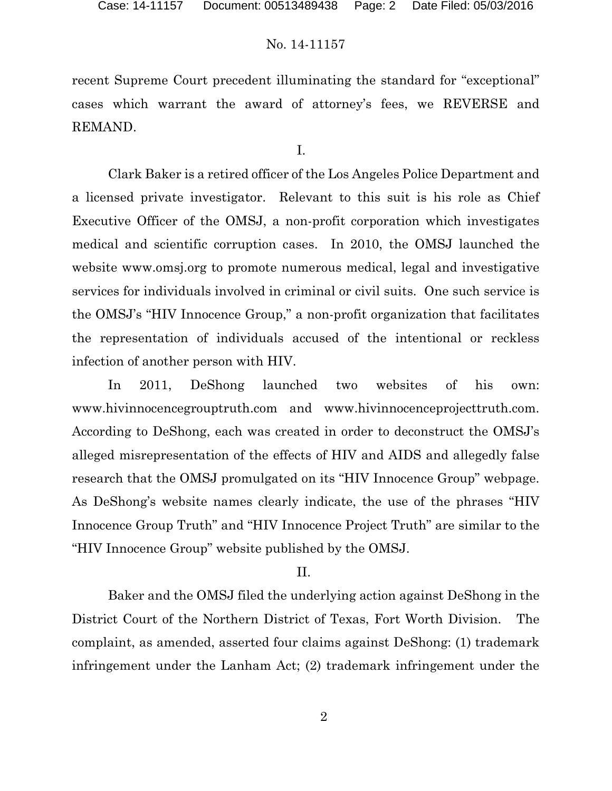recent Supreme Court precedent illuminating the standard for "exceptional" cases which warrant the award of attorney's fees, we REVERSE and REMAND.

I.

Clark Baker is a retired officer of the Los Angeles Police Department and a licensed private investigator. Relevant to this suit is his role as Chief Executive Officer of the OMSJ, a non-profit corporation which investigates medical and scientific corruption cases. In 2010, the OMSJ launched the website www.omsj.org to promote numerous medical, legal and investigative services for individuals involved in criminal or civil suits. One such service is the OMSJ's "HIV Innocence Group," a non-profit organization that facilitates the representation of individuals accused of the intentional or reckless infection of another person with HIV.

In 2011, DeShong launched two websites of his own: www.hivinnocencegrouptruth.com and www.hivinnocenceprojecttruth.com. According to DeShong, each was created in order to deconstruct the OMSJ's alleged misrepresentation of the effects of HIV and AIDS and allegedly false research that the OMSJ promulgated on its "HIV Innocence Group" webpage. As DeShong's website names clearly indicate, the use of the phrases "HIV Innocence Group Truth" and "HIV Innocence Project Truth" are similar to the "HIV Innocence Group" website published by the OMSJ.

### II.

Baker and the OMSJ filed the underlying action against DeShong in the District Court of the Northern District of Texas, Fort Worth Division. The complaint, as amended, asserted four claims against DeShong: (1) trademark infringement under the Lanham Act; (2) trademark infringement under the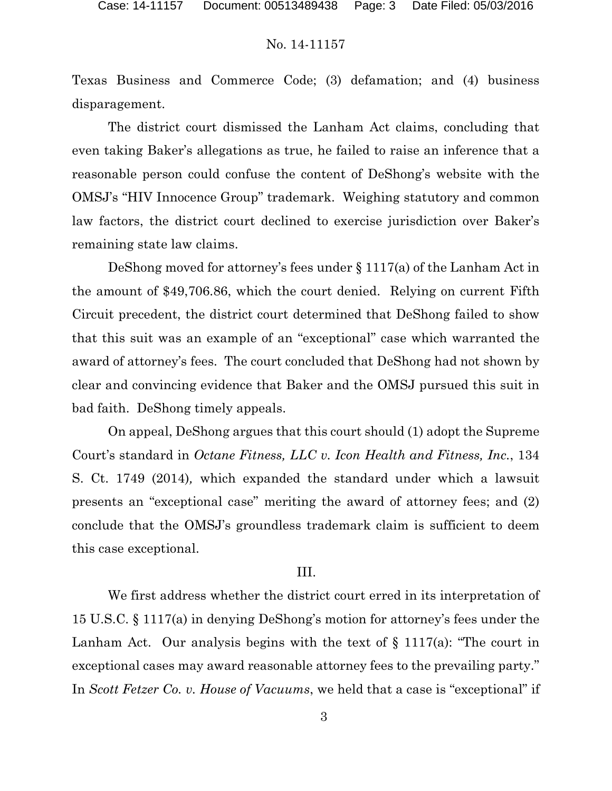Texas Business and Commerce Code; (3) defamation; and (4) business disparagement.

The district court dismissed the Lanham Act claims, concluding that even taking Baker's allegations as true, he failed to raise an inference that a reasonable person could confuse the content of DeShong's website with the OMSJ's "HIV Innocence Group" trademark. Weighing statutory and common law factors, the district court declined to exercise jurisdiction over Baker's remaining state law claims.

DeShong moved for attorney's fees under § 1117(a) of the Lanham Act in the amount of \$49,706.86, which the court denied. Relying on current Fifth Circuit precedent, the district court determined that DeShong failed to show that this suit was an example of an "exceptional" case which warranted the award of attorney's fees. The court concluded that DeShong had not shown by clear and convincing evidence that Baker and the OMSJ pursued this suit in bad faith. DeShong timely appeals.

On appeal, DeShong argues that this court should (1) adopt the Supreme Court's standard in *Octane Fitness, LLC v. Icon Health and Fitness, Inc.*, 134 S. Ct. 1749 (2014)*,* which expanded the standard under which a lawsuit presents an "exceptional case" meriting the award of attorney fees; and (2) conclude that the OMSJ's groundless trademark claim is sufficient to deem this case exceptional.

### III.

We first address whether the district court erred in its interpretation of 15 U.S.C. § 1117(a) in denying DeShong's motion for attorney's fees under the Lanham Act. Our analysis begins with the text of  $\S$  1117(a): "The court in exceptional cases may award reasonable attorney fees to the prevailing party." In *Scott Fetzer Co. v. House of Vacuums*, we held that a case is "exceptional" if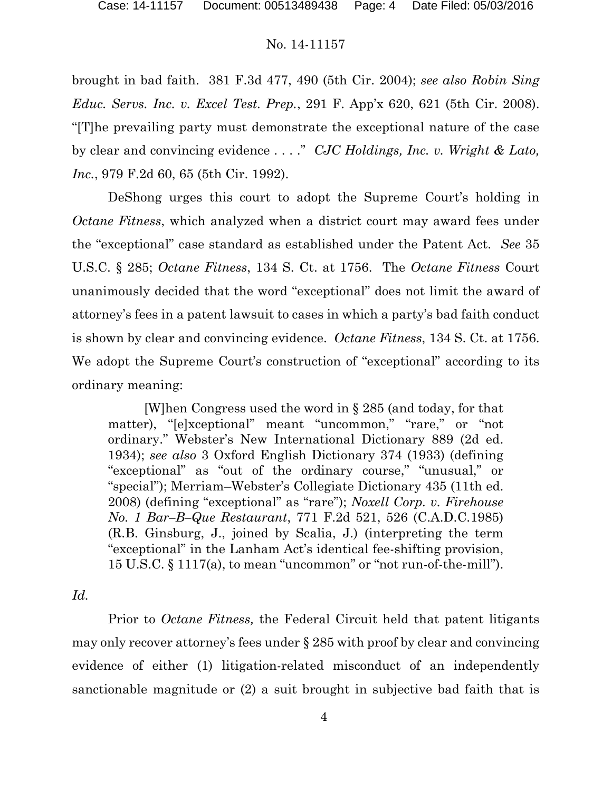brought in bad faith. 381 F.3d 477, 490 (5th Cir. 2004); *see also Robin Sing Educ. Servs. Inc. v. Excel Test. Prep.*, 291 F. App'x 620, 621 (5th Cir. 2008). "[T]he prevailing party must demonstrate the exceptional nature of the case by clear and convincing evidence . . . ." *CJC Holdings, Inc. v. Wright & Lato, Inc.*, 979 F.2d 60, 65 (5th Cir. 1992).

DeShong urges this court to adopt the Supreme Court's holding in *Octane Fitness*, which analyzed when a district court may award fees under the "exceptional" case standard as established under the Patent Act. *See* 35 U.S.C. § 285; *Octane Fitness*, 134 S. Ct. at 1756. The *Octane Fitness* Court unanimously decided that the word "exceptional" does not limit the award of attorney's fees in a patent lawsuit to cases in which a party's bad faith conduct is shown by clear and convincing evidence. *Octane Fitness*, 134 S. Ct. at 1756. We adopt the Supreme Court's construction of "exceptional" according to its ordinary meaning:

[W]hen Congress used the word in § 285 (and today, for that matter), "[e]xceptional" meant "uncommon," "rare," or "not ordinary." Webster's New International Dictionary 889 (2d ed. 1934); *see also* 3 Oxford English Dictionary 374 (1933) (defining "exceptional" as "out of the ordinary course," "unusual," or "special"); Merriam–Webster's Collegiate Dictionary 435 (11th ed. 2008) (defining "exceptional" as "rare"); *Noxell Corp. v. Firehouse No. 1 Bar–B–Que Restaurant*, 771 F.2d 521, 526 (C.A.D.C.1985) (R.B. Ginsburg, J., joined by Scalia, J.) (interpreting the term "exceptional" in the Lanham Act's identical fee-shifting provision, 15 U.S.C. § 1117(a), to mean "uncommon" or "not run-of-the-mill").

*Id.*

Prior to *Octane Fitness,* the Federal Circuit held that patent litigants may only recover attorney's fees under § 285 with proof by clear and convincing evidence of either (1) litigation-related misconduct of an independently sanctionable magnitude or (2) a suit brought in subjective bad faith that is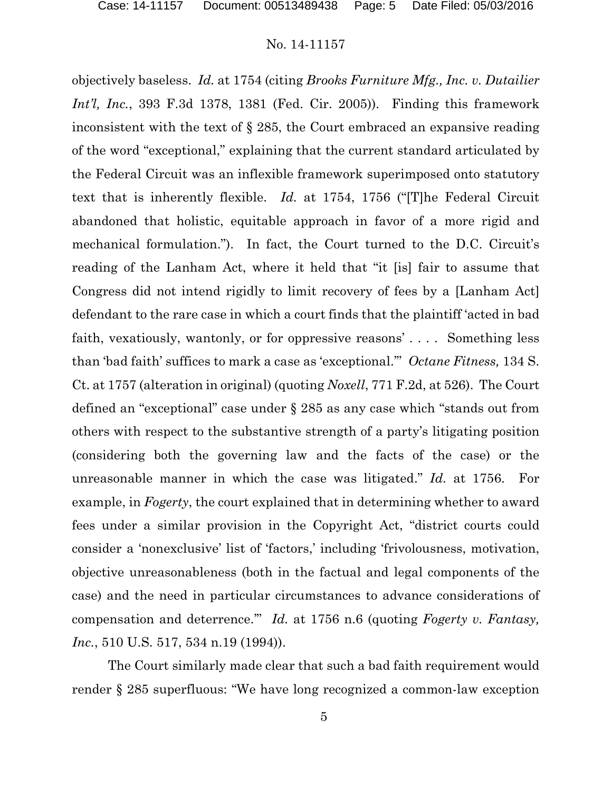objectively baseless. *Id.* at 1754 (citing *Brooks Furniture Mfg., Inc. v. Dutailier Int'l, Inc.*, 393 F.3d 1378, 1381 (Fed. Cir. 2005)). Finding this framework inconsistent with the text of § 285, the Court embraced an expansive reading of the word "exceptional," explaining that the current standard articulated by the Federal Circuit was an inflexible framework superimposed onto statutory text that is inherently flexible. *Id.* at 1754, 1756 ("[T]he Federal Circuit abandoned that holistic, equitable approach in favor of a more rigid and mechanical formulation."). In fact, the Court turned to the D.C. Circuit's reading of the Lanham Act, where it held that "it [is] fair to assume that Congress did not intend rigidly to limit recovery of fees by a [Lanham Act] defendant to the rare case in which a court finds that the plaintiff 'acted in bad faith, vexatiously, wantonly, or for oppressive reasons' . . . . Something less than 'bad faith' suffices to mark a case as 'exceptional.'" *Octane Fitness,* 134 S. Ct. at 1757 (alteration in original) (quoting *Noxell*, 771 F.2d, at 526).The Court defined an "exceptional" case under § 285 as any case which "stands out from others with respect to the substantive strength of a party's litigating position (considering both the governing law and the facts of the case) or the unreasonable manner in which the case was litigated." *Id.* at 1756. For example, in *Fogerty*, the court explained that in determining whether to award fees under a similar provision in the Copyright Act, "district courts could consider a 'nonexclusive' list of 'factors,' including 'frivolousness, motivation, objective unreasonableness (both in the factual and legal components of the case) and the need in particular circumstances to advance considerations of compensation and deterrence.'" *Id.* at 1756 n.6 (quoting *Fogerty v. Fantasy, Inc.*, 510 U.S. 517, 534 n.19 (1994)).

The Court similarly made clear that such a bad faith requirement would render § 285 superfluous: "We have long recognized a common-law exception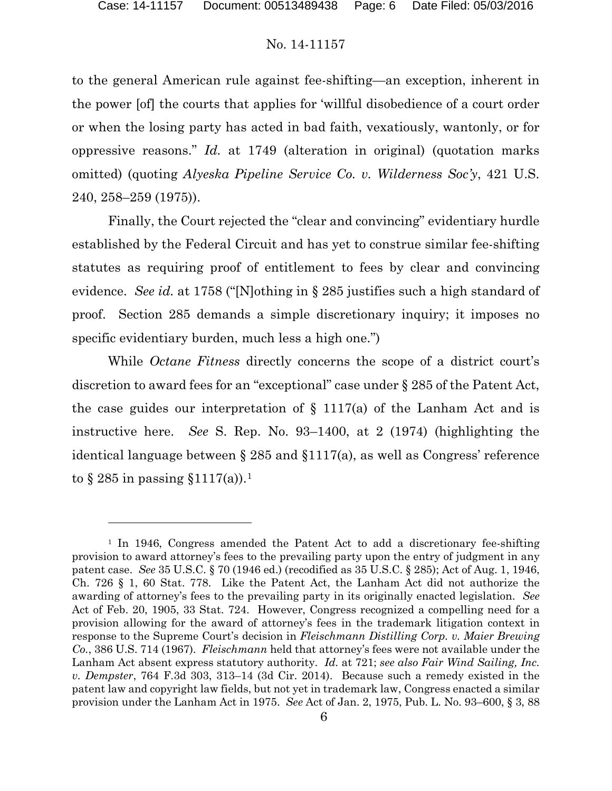to the general American rule against fee-shifting—an exception, inherent in the power [of] the courts that applies for 'willful disobedience of a court order or when the losing party has acted in bad faith, vexatiously, wantonly, or for oppressive reasons." *Id.* at 1749 (alteration in original) (quotation marks omitted) (quoting *Alyeska Pipeline Service Co. v. Wilderness Soc'y*, 421 U.S. 240, 258–259 (1975)).

Finally, the Court rejected the "clear and convincing" evidentiary hurdle established by the Federal Circuit and has yet to construe similar fee-shifting statutes as requiring proof of entitlement to fees by clear and convincing evidence. *See id.* at 1758 ("[N]othing in § 285 justifies such a high standard of proof. Section 285 demands a simple discretionary inquiry; it imposes no specific evidentiary burden, much less a high one.")

While *Octane Fitness* directly concerns the scope of a district court's discretion to award fees for an "exceptional" case under § 285 of the Patent Act, the case guides our interpretation of  $\S$  1117(a) of the Lanham Act and is instructive here. *See* S. Rep. No. 93–1400, at 2 (1974) (highlighting the identical language between § 285 and §1117(a), as well as Congress' reference to  $\S 285$  in passing  $\S 1117(a)$  $\S 1117(a)$  $\S 1117(a)$ ).

 $\overline{a}$ 

<span id="page-5-0"></span><sup>&</sup>lt;sup>1</sup> In 1946, Congress amended the Patent Act to add a discretionary fee-shifting provision to award attorney's fees to the prevailing party upon the entry of judgment in any patent case. *See* 35 U.S.C. § 70 (1946 ed.) (recodified as 35 U.S.C. § 285); Act of Aug. 1, 1946, Ch. 726 § 1, 60 Stat. 778. Like the Patent Act, the Lanham Act did not authorize the awarding of attorney's fees to the prevailing party in its originally enacted legislation. *See*  Act of Feb. 20, 1905, 33 Stat. 724. However, Congress recognized a compelling need for a provision allowing for the award of attorney's fees in the trademark litigation context in response to the Supreme Court's decision in *Fleischmann Distilling Corp. v. Maier Brewing Co.*, 386 U.S. 714 (1967). *Fleischmann* held that attorney's fees were not available under the Lanham Act absent express statutory authority. *Id.* at 721; *see also Fair Wind Sailing, Inc. v. Dempster*, 764 F.3d 303, 313–14 (3d Cir. 2014). Because such a remedy existed in the patent law and copyright law fields, but not yet in trademark law, Congress enacted a similar provision under the Lanham Act in 1975. *See* Act of Jan. 2, 1975, Pub. L. No. 93–600, § 3, 88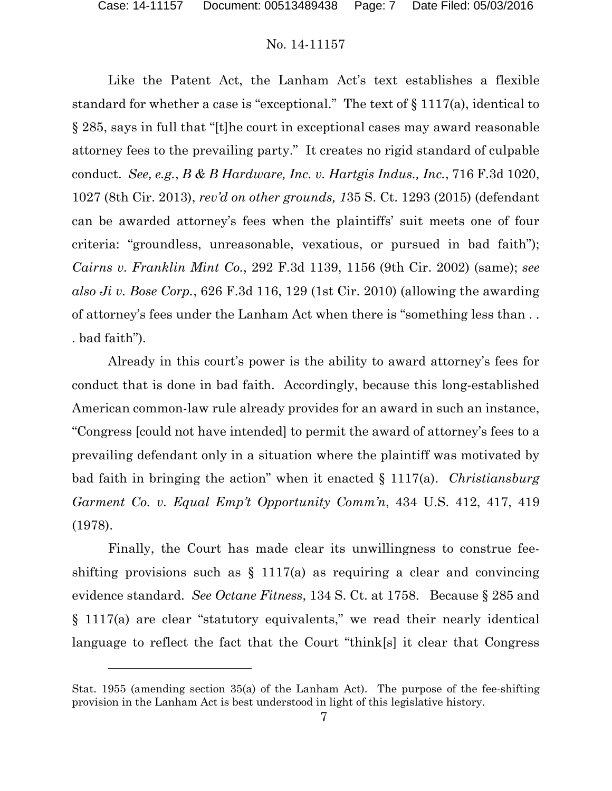$\overline{a}$ 

# No. 14-11157

Like the Patent Act, the Lanham Act's text establishes a flexible standard for whether a case is "exceptional." The text of § 1117(a), identical to § 285, says in full that "[t]he court in exceptional cases may award reasonable attorney fees to the prevailing party." It creates no rigid standard of culpable conduct. *See, e.g.*, *B & B Hardware, Inc. v. Hartgis Indus., Inc.*, 716 F.3d 1020, 1027 (8th Cir. 2013), *rev'd on other grounds, 1*35 S. Ct. 1293 (2015) (defendant can be awarded attorney's fees when the plaintiffs' suit meets one of four criteria: "groundless, unreasonable, vexatious, or pursued in bad faith"); *Cairns v. Franklin Mint Co.*, 292 F.3d 1139, 1156 (9th Cir. 2002) (same); *see also Ji v. Bose Corp.*, 626 F.3d 116, 129 (1st Cir. 2010) (allowing the awarding of attorney's fees under the Lanham Act when there is "something less than . . . bad faith").

Already in this court's power is the ability to award attorney's fees for conduct that is done in bad faith. Accordingly, because this long-established American common-law rule already provides for an award in such an instance, "Congress [could not have intended] to permit the award of attorney's fees to a prevailing defendant only in a situation where the plaintiff was motivated by bad faith in bringing the action" when it enacted § 1117(a). *Christiansburg Garment Co. v. Equal Emp't Opportunity Comm'n*, 434 U.S. 412, 417, 419 (1978).

Finally, the Court has made clear its unwillingness to construe feeshifting provisions such as  $\S$  1117(a) as requiring a clear and convincing evidence standard. *See Octane Fitness*, 134 S. Ct. at 1758. Because § 285 and § 1117(a) are clear "statutory equivalents," we read their nearly identical language to reflect the fact that the Court "think[s] it clear that Congress

Stat. 1955 (amending section 35(a) of the Lanham Act). The purpose of the fee-shifting provision in the Lanham Act is best understood in light of this legislative history.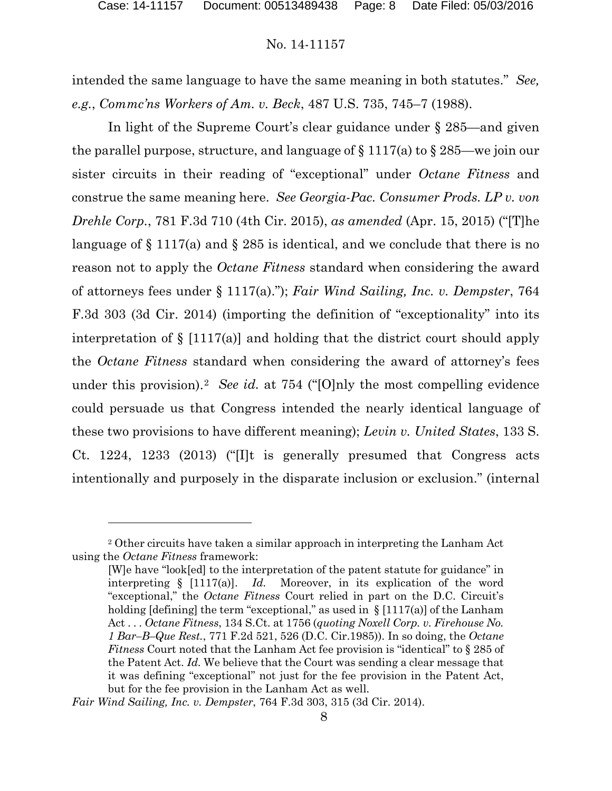intended the same language to have the same meaning in both statutes." *See, e.g.*, *Commc'ns Workers of Am. v. Beck*, 487 U.S. 735, 745–7 (1988).

In light of the Supreme Court's clear guidance under § 285—and given the parallel purpose, structure, and language of  $\S 1117(a)$  to  $\S 285$ —we join our sister circuits in their reading of "exceptional" under *Octane Fitness* and construe the same meaning here. *See Georgia-Pac. Consumer Prods. LP v. von Drehle Corp.*, 781 F.3d 710 (4th Cir. 2015), *as amended* (Apr. 15, 2015) ("[T]he language of  $\S 1117(a)$  and  $\S 285$  is identical, and we conclude that there is no reason not to apply the *Octane Fitness* standard when considering the award of attorneys fees under § 1117(a)."); *Fair Wind Sailing, Inc. v. Dempster*, 764 F.3d 303 (3d Cir. 2014) (importing the definition of "exceptionality" into its interpretation of  $\S$  [1117(a)] and holding that the district court should apply the *Octane Fitness* standard when considering the award of attorney's fees under this provision).[2](#page-7-0) *See id.* at 754 ("[O]nly the most compelling evidence could persuade us that Congress intended the nearly identical language of these two provisions to have different meaning); *Levin v. United States*, 133 S. Ct. 1224, 1233 (2013) ("[I]t is generally presumed that Congress acts intentionally and purposely in the disparate inclusion or exclusion." (internal

 $\overline{a}$ 

<span id="page-7-0"></span><sup>2</sup> Other circuits have taken a similar approach in interpreting the Lanham Act using the *Octane Fitness* framework:

<sup>[</sup>W]e have "look[ed] to the interpretation of the patent statute for guidance" in interpreting § [1117(a)]. *Id.* Moreover, in its explication of the word "exceptional," the *Octane Fitness* Court relied in part on the D.C. Circuit's holding [defining] the term "exceptional," as used in  $\S$  [1117(a)] of the Lanham Act . . . *Octane Fitness*, 134 S.Ct. at 1756 (*quoting Noxell Corp. v. Firehouse No. 1 Bar–B–Que Rest.*, 771 F.2d 521, 526 (D.C. Cir.1985)). In so doing, the *Octane Fitness* Court noted that the Lanham Act fee provision is "identical" to § 285 of the Patent Act. *Id.* We believe that the Court was sending a clear message that it was defining "exceptional" not just for the fee provision in the Patent Act, but for the fee provision in the Lanham Act as well.

*Fair Wind Sailing, Inc. v. Dempster*, 764 F.3d 303, 315 (3d Cir. 2014).